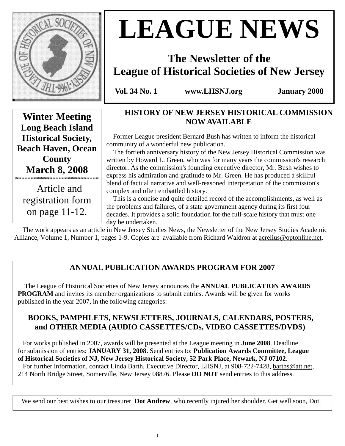

# **LEAGUE NEWS**

# **The Newsletter of the League of Historical Societies of New Jersey**

**Vol. 34 No. 1 www.LHSNJ.org January 2008** 

**Winter Meeting Long Beach Island Historical Society, Beach Haven, Ocean County March 8, 2008**  \*\*\*\*\*\*\*\*\*\*\*\*\*\*\*\*\*\*\*\*\*\*\*\*\*\*\*

 Article and registration form on page 11-12.

# **HISTORY OF NEW JERSEY HISTORICAL COMMISSION NOW AVAILABLE**

 Former League president Bernard Bush has written to inform the historical community of a wonderful new publication.

 The fortieth anniversary history of the New Jersey Historical Commission was written by Howard L. Green, who was for many years the commission's research director. As the commission's founding executive director, Mr. Bush wishes to express his admiration and gratitude to Mr. Green. He has produced a skillful blend of factual narrative and well-reasoned interpretation of the commission's complex and often embattled history.

 This is a concise and quite detailed record of the accomplishments, as well as the problems and failures, of a state government agency during its first four decades. It provides a solid foundation for the full-scale history that must one day be undertaken.

 The work appears as an article in New Jersey Studies News, the Newsletter of the New Jersey Studies Academic Alliance, Volume 1, Number 1, pages 1-9. Copies are available from Richard Waldron at acrelius@optonline.net.

# **ANNUAL PUBLICATION AWARDS PROGRAM FOR 2007**

 The League of Historical Societies of New Jersey announces the **ANNUAL PUBLICATION AWARDS PROGRAM** and invites its member organizations to submit entries. Awards will be given for works published in the year 2007, in the following categories:

### **BOOKS, PAMPHLETS, NEWSLETTERS, JOURNALS, CALENDARS, POSTERS, and OTHER MEDIA (AUDIO CASSETTES/CDs, VIDEO CASSETTES/DVDS)**

 For works published in 2007, awards will be presented at the League meeting in **June 2008**. Deadline for submission of entries: **JANUARY 31, 2008.** Send entries to: **Publication Awards Committee, League of Historical Societies of NJ, New Jersey Historical Society, 52 Park Place, Newark, NJ 07102**. For further information, contact Linda Barth, Executive Director, LHSNJ, at 908-722-7428, barths@att.net,

214 North Bridge Street, Somerville, New Jersey 08876. Please **DO NOT** send entries to this address.

We send our best wishes to our treasurer, **Dot Andrew**, who recently injured her shoulder. Get well soon, Dot.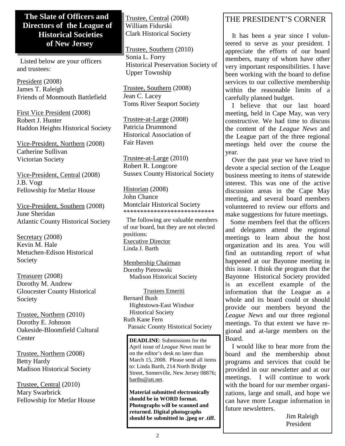#### **The Slate of Officers and Directors of the League of Historical Societies of New Jersey**

 Listed below are your officers and trustees:

President (2008) James T. Raleigh Friends of Monmouth Battlefield

First Vice President (2008) Robert J. Hunter Haddon Heights Historical Society

Vice-President, Northern (2008) Catherine Sullivan Victorian Society

Vice-President, Central (2008) J.B. Vogt Fellowship for Metlar House

Vice-President, Southern (2008) June Sheridan Atlantic County Historical Society

Secretary (2008) Kevin M. Hale Metuchen-Edison Historical Society

Treasurer (2008) Dorothy M. Andrew Gloucester County Historical Society

Trustee, Northern (2010) Dorothy E. Johnson Oakeside-Bloomfield Cultural **Center** 

Trustee, Northern (2008) Betty Hardy Madison Historical Society

Trustee, Central (2010) Mary Swarbrick Fellowship for Metlar House Trustee, Central (2008) William Fidurski Clark Historical Society

Trustee, Southern (2010) Sonia L. Forry Historical Preservation Society of Upper Township

Trustee, Southern (2008) Jean C. Lacey Toms River Seaport Society

Trustee-at-Large (2008) Patricia Drummond Historical Association of Fair Haven

Trustee-at-Large (2010) Robert R. Longcore Sussex County Historical Society

Historian (2008) John Chance Montclair Historical Society \*\*\*\*\*\*\*\*\*\*\*\*\*\*\*\*\*\*\*\*\*\*\*\*\*\*\*

 The following are valuable members of our board, but they are not elected positions: Executive Director Linda J. Barth

Membership Chairman Dorothy Pietrowski Madison Historical Society

 Trustees Emeriti Bernard Bush Hightstown-East Windsor Historical Society Ruth Kane Fern Passaic County Historical Society

**DEADLINE**: Submissions for the April issue of *League News* must be on the editor's desk no later than March 15, 2008. Please send all items to: Linda Barth, 214 North Bridge Street, Somerville, New Jersey 08876; barths@att.net.

**Material submitted electronically should be in WORD format. Photographs will be scanned and returned. Digital photographs should be submitted in .jpeg or .tiff.** 

# THE PRESIDENT'S CORNER

 It has been a year since I volunteered to serve as your president. I appreciate the efforts of our board members, many of whom have other very important responsibilities. I have been working with the board to define services to our collective membership within the reasonable limits of a carefully planned budget.

 I believe that our last board meeting, held in Cape May, was very constructive. We had time to discuss the content of the *League News* and the League part of the three regional meetings held over the course the year.

 Over the past year we have tried to devote a special section of the League business meeting to items of statewide interest. This was one of the active discussion areas in the Cape May meeting, and several board members volunteered to review our efforts and make suggestions for future meetings.

 Some members feel that the officers and delegates attend the regional meetings to learn about the host organization and its area. You will find an outstanding report of what happened at our Bayonne meeting in this issue. I think the program that the Bayonne Historical Society provided is an excellent example of the information that the League as a whole and its board could or should provide our members beyond the *League News* and our three regional meetings. To that extent we have regional and at-large members on the Board.

 I would like to hear more from the board and the membership about programs and services that could be provided in our newsletter and at our meetings. I will continue to work with the board for our member organizations, large and small, and hope we can have more League information in future newsletters.

> Jim Raleigh President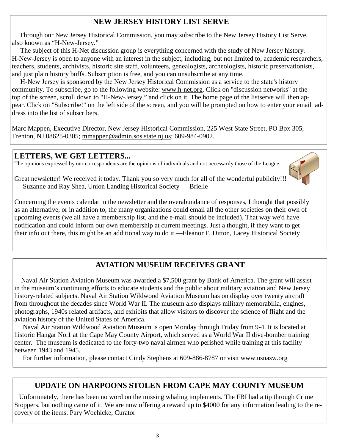# **NEW JERSEY HISTORY LIST SERVE**

 Through our New Jersey Historical Commission, you may subscribe to the New Jersey History List Serve, also known as "H-New-Jersey."

 The subject of this H-Net discussion group is everything concerned with the study of New Jersey history. H-New-Jersey is open to anyone with an interest in the subject, including, but not limited to, academic researchers, teachers, students, archivists, historic site staff, volunteers, genealogists, archeologists, historic preservationists, and just plain history buffs. Subscription is free, and you can unsubscribe at any time.

 H-New Jersey is sponsored by the New Jersey Historical Commission as a service to the state's history community. To subscribe, go to the following website: www.h-net.org. Click on "discussion networks" at the top of the screen, scroll down to "H-New-Jersey," and click on it. The home page of the listserve will then appear. Click on "Subscribe!" on the left side of the screen, and you will be prompted on how to enter your email address into the list of subscribers.

Marc Mappen, Executive Director, New Jersey Historical Commission, 225 West State Street, PO Box 305, Trenton, NJ 08625-0305; mmappen@admin.sos.state.nj.us; 609-984-0902.

#### **LETTERS, WE GET LETTERS...**

The opinions expressed by our correspondents are the opinions of individuals and not necessarily those of the League.



Great newsletter! We received it today. Thank you so very much for all of the wonderful publicity!!! — Suzanne and Ray Shea, Union Landing Historical Society — Brielle

Concerning the events calendar in the newsletter and the overabundance of responses, I thought that possibly as an alternative, or in addition to, the many organizations could email all the other societies on their own of upcoming events (we all have a membership list, and the e-mail should be included). That way we'd have notification and could inform our own membership at current meetings. Just a thought, if they want to get their info out there, this might be an additional way to do it.—Eleanor F. Ditton, Lacey Historical Society

#### **AVIATION MUSEUM RECEIVES GRANT**

 Naval Air Station Aviation Museum was awarded a \$7,500 grant by Bank of America. The grant will assist in the museum's continuing efforts to educate students and the public about military aviation and New Jersey history-related subjects. Naval Air Station Wildwood Aviation Museum has on display over twenty aircraft from throughout the decades since World War II. The museum also displays military memorabilia, engines, photographs, 1940s related artifacts, and exhibits that allow visitors to discover the science of flight and the aviation history of the United States of America.

 Naval Air Station Wildwood Aviation Museum is open Monday through Friday from 9-4. It is located at historic Hangar No.1 at the Cape May County Airport, which served as a World War II dive-bomber training center. The museum is dedicated to the forty-two naval airmen who perished while training at this facility between 1943 and 1945.

For further information, please contact Cindy Stephens at 609-886-8787 or visit www.usnasw.org

#### **UPDATE ON HARPOONS STOLEN FROM CAPE MAY COUNTY MUSEUM**

 Unfortunately, there has been no word on the missing whaling implements. The FBI had a tip through Crime Stoppers, but nothing came of it. We are now offering a reward up to \$4000 for any information leading to the recovery of the items. Pary Woehlcke, Curator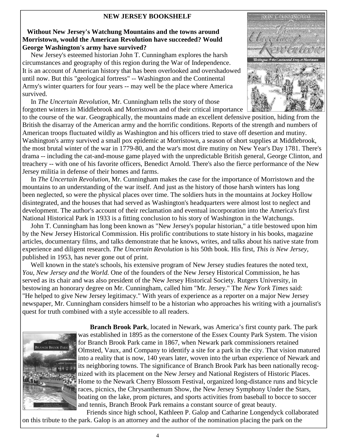#### **NEW JERSEY BOOKSHELF**

#### **Without New Jersey's Watchung Mountains and the towns around Morristown, would the American Revolution have succeeded? Would George Washington's army have survived?**

 New Jersey's esteemed historian John T. Cunningham explores the harsh circumstances and geography of this region during the War of Independence. It is an account of American history that has been overlooked and overshadowed until now. But this "geological fortress" -- Washington and the Continental Army's winter quarters for four years -- may well be the place where America survived.

 In *The Uncertain Revolution,* Mr. Cunningham tells the story of those forgotten winters in Middlebrook and Morristown and of their critical importance

to the course of the war. Geographically, the mountains made an excellent defensive position, hiding from the British the disarray of the American army and the horrific conditions. Reports of the strength and numbers of American troops fluctuated wildly as Washington and his officers tried to stave off desertion and mutiny. Washington's army survived a small pox epidemic at Morristown, a season of short supplies at Middlebrook, the most brutal winter of the war in 1779-80, and the war's most dire mutiny on New Year's Day 1781. There's drama -- including the cat-and-mouse game played with the unpredictable British general, George Clinton, and treachery -- with one of his favorite officers, Benedict Arnold. There's also the fierce performance of the New Jersey militia in defense of their homes and farms.

 In *The Uncertain Revolution,* Mr. Cunningham makes the case for the importance of Morristown and the mountains to an understanding of the war itself. And just as the history of those harsh winters has long been neglected, so were the physical places over time. The soldiers huts in the mountains at Jockey Hollow disintegrated, and the houses that had served as Washington's headquarters were almost lost to neglect and development. The author's account of their reclamation and eventual incorporation into the America's first National Historical Park in 1933 is a fitting conclusion to his story of Washington in the Watchungs.

 John T. Cunningham has long been known as "New Jersey's popular historian," a title bestowed upon him by the New Jersey Historical Commission. His prolific contributions to state history in his books, magazine articles, documentary films, and talks demonstrate that he knows, writes, and talks about his native state from experience and diligent research. *The Uncertain Revolution* is his 50th book. His first, *This is New Jersey,* published in 1953, has never gone out of print.

 Well known in the state's schools, his extensive program of New Jersey studies features the noted text, *You, New Jersey and the World.* One of the founders of the New Jersey Historical Commission, he has served as its chair and was also president of the New Jersey Historical Society. Rutgers University, in bestowing an honorary degree on Mr. Cunningham, called him "Mr. Jersey." The *New York Times* said: "He helped to give New Jersey legitimacy." With years of experience as a reporter on a major New Jersey newspaper, Mr. Cunningham considers himself to be a historian who approaches his writing with a journalist's quest for truth combined with a style accessible to all readers.



 **Branch Brook Park**, located in Newark, was America's first county park. The park was established in 1895 as the cornerstone of the Essex County Park System. The vision for Branch Brook Park came in 1867, when Newark park commissioners retained Olmsted, Vaux, and Company to identify a site for a park in the city. That vision matured into a reality that is now, 140 years later, woven into the urban experience of Newark and its neighboring towns. The significance of Branch Brook Park has been nationally recognized with its placement on the New Jersey and National Registers of Historic Places. Home to the Newark Cherry Blossom Festival, organized long-distance runs and bicycle races, picnics, the Chrysanthemum Show, the New Jersey Symphony Under the Stars, boating on the lake, prom pictures, and sports activities from baseball to bocce to soccer and tennis, Branch Brook Park remains a constant source of great beauty.

 Friends since high school, Kathleen P. Galop and Catharine Longendyck collaborated on this tribute to the park. Galop is an attorney and the author of the nomination placing the park on the

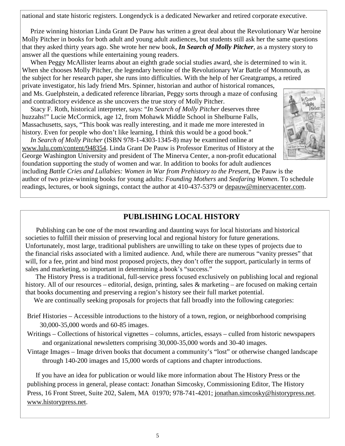national and state historic registers. Longendyck is a dedicated Newarker and retired corporate executive.

 Prize winning historian Linda Grant De Pauw has written a great deal about the Revolutionary War heroine Molly Pitcher in books for both adult and young adult audiences, but students still ask her the same questions that they asked thirty years ago. She wrote her new book, *In Search of Molly Pitcher*, as a mystery story to answer all the questions while entertaining young readers.

When Peggy McAllister learns about an eighth grade social studies award, she is determined to win it. When she chooses Molly Pitcher, the legendary heroine of the Revolutionary War Battle of Monmouth, as the subject for her research paper, she runs into difficulties. With the help of her Greatgramps, a retired private investigator, his lady friend Mrs. Spinner, historian and author of historical romances, and Ms. Guelphstein, a dedicated reference librarian, Peggy sorts through a maze of confusing and contradictory evidence as she uncovers the true story of Molly Pitcher.

 Stacy F. Roth, historical interpreter, says: "*In Search of Molly Pitcher* deserves three huzzahs!" Lucie McCormick, age 12, from Mohawk Middle School in Shelburne Falls, Massachusetts, says, "This book was really interesting, and it made me more interested in history. Even for people who don't like learning, I think this would be a good book."

 *In Search of Molly Pitcher* (ISBN 978-1-4303-1345-8) may be examined online at www.lulu.com/content/948354. Linda Grant De Pauw is Professor Emeritus of History at the George Washington University and president of The Minerva Center, a non-profit educational foundation supporting the study of women and war. In addition to books for adult audiences



including *Battle Cries and Lullabies: Women in War from Prehistory to the Presen*t, De Pauw is the author of two prize-winning books for young adults: *Founding Mothers* and *Seafaring Women*. To schedule readings, lectures, or book signings, contact the author at 410-437-5379 or depauw@minervacenter.com.

#### **PUBLISHING LOCAL HISTORY**

 Publishing can be one of the most rewarding and daunting ways for local historians and historical societies to fulfill their mission of preserving local and regional history for future generations. Unfortunately, most large, traditional publishers are unwilling to take on these types of projects due to the financial risks associated with a limited audience. And, while there are numerous "vanity presses" that will, for a fee, print and bind most proposed projects, they don't offer the support, particularly in terms of sales and marketing, so important in determining a book's "success."

 The History Press is a traditional, full-service press focused exclusively on publishing local and regional history. All of our resources – editorial, design, printing, sales & marketing – are focused on making certain that books documenting and preserving a region's history see their full market potential.

We are continually seeking proposals for projects that fall broadly into the following categories:

- Brief Histories Accessible introductions to the history of a town, region, or neighborhood comprising 30,000-35,000 words and 60-85 images.
- Writings Collections of historical vignettes columns, articles, essays culled from historic newspapers and organizational newsletters comprising 30,000-35,000 words and 30-40 images.
- Vintage Images Image driven books that document a community's "lost" or otherwise changed landscape through 140-200 images and 15,000 words of captions and chapter introductions.

 If you have an idea for publication or would like more information about The History Press or the publishing process in general, please contact: Jonathan Simcosky, Commissioning Editor, The History Press, 16 Front Street, Suite 202, Salem, MA 01970; 978-741-4201; jonathan.simcosky@historypress.net. www.historypress.net.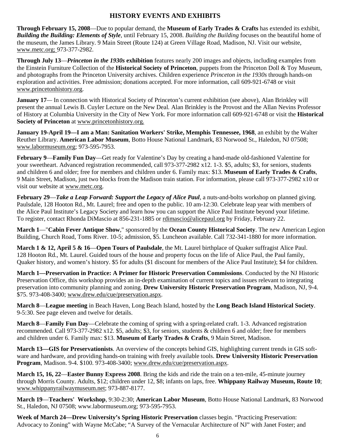#### **HISTORY EVENTS AND EXHIBITS**

**Through February 15, 2008**—Due to popular demand, the **Museum of Early Trades & Crafts** has extended its exhibit, *Building the Building: Elements of Style*, until February 15, 2008. *Building the Building* focuses on the beautiful home of the museum, the James Library. 9 Main Street (Route 124) at Green Village Road, Madison, NJ. Visit our website, www.metc.org; 973-377-2982.

**Through July 13**—*Princeton in the 1930s* **exhibition** features nearly 200 images and objects, including examples from the Einstein Furniture Collection of the **Historical Society of Princeton**, puppets from the Princeton Doll & Toy Museum, and photographs from the Princeton University archives. Children experience *Princeton in the 1930s* through hands-on exploration and activities. Free admission; donations accepted. For more information, call 609-921-6748 or visit www.princetonhistory.org.

**January 17—** In connection with Historical Society of Princeton's current exhibition (see above), Alan Brinkley will present the annual Lewis B. Cuyler Lecture on the New Deal*.* Alan Brinkley is the Provost and the Allan Nevins Professor of History at Columbia University in the City of New York. For more information call 609-921-6748 or visit the **Historical Society of Princeton** at www.princetonhistory.org.

**January 19-April 19—I am a Man: Sanitation Workers' Strike, Memphis Tennessee, 1968**, an exhibit by the Walter Reuther Library. **American Labor Museum**, Botto House National Landmark, 83 Norwood St., Haledon, NJ 07508; www.labormuseum.org; 973-595-7953.

**February 9**—**Family Fun Day**—Get ready for Valentine's Day by creating a hand-made old-fashioned Valentine for your sweetheart. Advanced registration recommended, call 973-377-2982 x12. 1-3. \$5, adults; \$3, for seniors, students and children 6 and older; free for members and children under 6. Family max: \$13. **Museum of Early Trades & Crafts**, 9 Main Street, Madison, just two blocks from the Madison train station. For information, please call 973-377-2982 x10 or visit our website at www.metc.org.

**February 29**—*Take a Leap Forward: Support the Legacy of Alice Paul,* a nuts-and-bolts workshop on planned giving. Paulsdale, 128 Hooton Rd., Mt. Laurel; free and open to the public. 10 am-12:30. Celebrate leap year with members of the Alice Paul Institute's Legacy Society and learn how you can support the Alice Paul Institute beyond your lifetime. To register, contact Rhonda DiMascio at 856-231-1885 or rdimascio@alicepaul.org by Friday, February 22.

**March 1**—"**Cabin Fever Antique Show**," sponsored by the **Ocean County Historical Society**. The new American Legion Building, Church Road, Toms River. 10-5; admission, \$5. Luncheon available. Call 732-341-1880 for more information.

**March 1 & 12, April 5 & 16**—**Open Tours of Paulsdale**, the Mt. Laurel birthplace of Quaker suffragist Alice Paul. 128 Hooton Rd., Mt. Laurel. Guided tours of the house and property focus on the life of Alice Paul, the Paul family, Quaker history, and women's history. \$5 for adults (\$1 discount for members of the Alice Paul Institute); \$4 for children.

**March 1—Preservation in Practice: A Primer for Historic Preservation Commissions**. Conducted by the NJ Historic Preservation Office, this workshop provides an in-depth examination of current topics and issues relevant to integrating preservation into community planning and zoning. **Drew University Historic Preservation Program**, Madison, NJ, 9-4. \$75. 973-408-3400; www.drew.edu/cue/preservation.aspx.

**March 8**—**League meeting** in Beach Haven, Long Beach Island, hosted by the **Long Beach Island Historical Society**. 9-5:30. See page eleven and twelve for details.

**March 8**—**Family Fun Day**—Celebrate the coming of spring with a spring-related craft. 1-3. Advanced registration recommended. Call 973-377-2982 x12. \$5, adults; \$3, for seniors, students & children 6 and older; free for members and children under 6. Family max: \$13. **Museum of Early Trades & Crafts**, 9 Main Street, Madison.

**March 13—GIS for Preservationists**. An overview of the concepts behind GIS, highlighting current trends in GIS software and hardware, and providing hands-on training with freely available tools. **Drew University Historic Preservation Program**, Madison. 9-4. \$100. 973-408-3400; www.drew.edu/cue/preservation.aspx.

**March 15, 16, 22**—**Easter Bunny Express 2008**. Bring the kids and ride the train on a ten-mile, 45-minute journey through Morris County. Adults, \$12; children under 12, \$8; infants on laps, free. **Whippany Railway Museum, Route 10**; www.whippanyrailwaymuseum.net; 973-887-8177.

**March 19**—**Teachers' Workshop**, 9:30-2:30; **American Labor Museum**, Botto House National Landmark, 83 Norwood St., Haledon, NJ 07508; www.labormuseum.org; 973-595-7953.

**Week of March 24—Drew University's Spring Historic Preservation** classes begin. "Practicing Preservation: Advocacy to Zoning" with Wayne McCabe; "A Survey of the Vernacular Architecture of NJ" with Janet Foster; and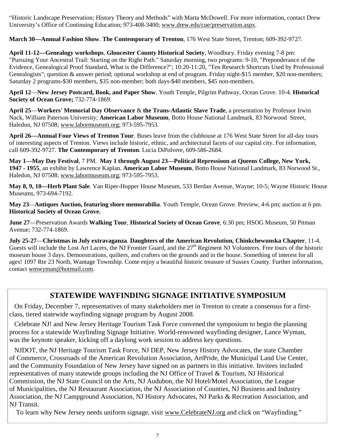"Historic Landscape Preservation; History Theory and Methods" with Marta McDowell. For more information, contact Drew University's Office of Continuing Education; 973-408-3400; www.drew.edu/cue/preservation.aspx.

**March 30—Annual Fashion Show**. **The Contemporary of Trenton**, 176 West State Street, Trenton; 609-392-9727.

**April 11-12—Genealogy workshops**, **Gloucester County Historical Society**, Woodbury. Friday evening 7-8 pm: "Pursuing Your Ancestral Trail: Starting on the Right Path." Saturday morning, two programs: 9-10, "Preponderance of the Evidence, Genealogical Proof Standard, What is the Difference?"; 10:20-11:20, "Ten Research Shortcuts Used by Professional Genealogists"; question & answer period; optional workshop at end of program. Friday night-\$15 member, \$20 non-members; Saturday 2 programs-\$30 members, \$35 non-member; both days-\$40 members, \$45 non-members.

**April 12**—**New Jersey Postcard, Book, and Paper Show**. Youth Temple, Pilgrim Pathway, Ocean Grove. 10-4. **Historical Society of Ocean Grove;** 732-774-1869.

**April 25**—**Workers' Memorial Day Observance** & **the Trans-Atlantic Slave Trade**, a presentation by Professor Irwin Nack, William Paterson University; **American Labor Museum**, Botto House National Landmark, 83 Norwood Street, Haledon, NJ 07508; www.labormuseum.org; 973-595-7953.

**April 26—Annual Four Views of Trenton Tour**. Buses leave from the clubhouse at 176 West State Street for all-day tours of interesting aspects of Trenton. Views include historic, ethnic, and architectural facets of our capital city. For information, call 609-392-9727. **The Contemporary of Trenton**. Lucia DiPolvere, 609-586-2684.

**May 1—May Day Festival**, 7 PM. **May 1 through August 23—Political Repressioon at Queens College, New York, 1947 - 1955**, an exhibit by Lawrence Kaplan. **American Labor Museum**, Botto House National Landmark, 83 Norwood St., Haledon, NJ 07508; www.labormuseum.org; 973-595-7953.

**May 8, 9, 10—Herb Plant Sale**. Van Riper-Hopper House Museum, 533 Berdan Avenue, Wayne; 10-5; Wayne Historic House Museums, 973-694-7192.

**May 23**—**Antiques Auction, featuring shore memorabilia**. Youth Temple, Ocean Grove. Preview, 4-6 pm; auction at 6 pm. **Historical Society of Ocean Grove.** 

**June 27**—Preservation Awards **Walking Tour**, **Historical Society of Ocean Grove**, 6:30 pm; HSOG Museum, 50 Pitman Avenue; 732-774-1869.

**July 25-27**—**Christmas in July extravaganza**. **Daughters of the American Revolution, Chinkchewunska Chapter**, 11-4. Guests will include the Lost Art Lacers, the NJ Frontier Guard, and the  $27<sup>th</sup>$  Regiment NJ Volunteers. Free tours of the historic museum house 3 days. Demonstrations, quilters, and crafters on the grounds and in the house. Something of interest for all ages! 1097 Rte 23 North, Wantage Township. Come enjoy a beautiful historic treasure of Sussex County. Further information, contact wmwyman@hotmail.com.

#### **STATEWIDE WAYFINDING SIGNAGE INITIATIVE SYMPOSIUM**

 On Friday, December 7, representatives of many stakeholders met in Trenton to create a consensus for a firstclass, tiered statewide wayfinding signage program by August 2008.

 Celebrate NJ! and New Jersey Heritage Tourism Task Force convened the symposium to begin the planning process for a statewide Wayfinding Signage Initiative. World-renowned wayfinding designer, Lance Wyman, was the keynote speaker, kicking off a daylong work session to address key questions.

 NJDOT, the NJ Heritage Tourism Task Force, NJ DEP, New Jersey History Advocates, the state Chamber of Commerce, Crossroads of the American Revolution Association, ArtPride, the Municipal Land Use Center, and the Community Foundation of New Jersey have signed on as partners in this initiative. Invitees included representatives of many statewide groups including the NJ Office of Travel & Tourism, NJ Historical Commission, the NJ State Council on the Arts, NJ Audubon, the NJ Hotel/Motel Association, the League of Municipalities, the NJ Restaurant Association, the NJ Association of Counties, NJ Business and Industry Association, the NJ Campground Association, NJ History Advocates, NJ Parks & Recreation Association, and NJ Transit.

To learn why New Jersey needs uniform signage, visit www.CelebrateNJ.org and click on "Wayfinding."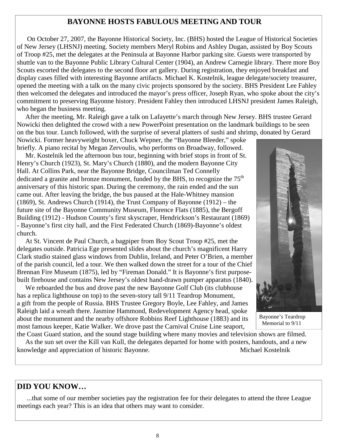#### **BAYONNE HOSTS FABULOUS MEETING AND TOUR**

 On October 27, 2007, the Bayonne Historical Society, Inc. (BHS) hosted the League of Historical Societies of New Jersey (LHSNJ) meeting. Society members Meryl Robins and Ashley Dugan, assisted by Boy Scouts of Troop #25, met the delegates at the Peninsula at Bayonne Harbor parking site. Guests were transported by shuttle van to the Bayonne Public Library Cultural Center (1904), an Andrew Carnegie library. There more Boy Scouts escorted the delegates to the second floor art gallery. During registration, they enjoyed breakfast and display cases filled with interesting Bayonne artifacts. Michael K. Kostelnik, league delegate/society treasurer, opened the meeting with a talk on the many civic projects sponsored by the society. BHS President Lee Fahley then welcomed the delegates and introduced the mayor's press officer, Joseph Ryan, who spoke about the city's commitment to preserving Bayonne history. President Fahley then introduced LHSNJ president James Raleigh, who began the business meeting.

 After the meeting, Mr. Raleigh gave a talk on Lafayette's march through New Jersey. BHS trustee Gerard Nowicki then delighted the crowd with a new PowerPoint presentation on the landmark buildings to be seen on the bus tour. Lunch followed, with the surprise of several platters of sushi and shrimp, donated by Gerard Nowicki. Former heavyweight boxer, Chuck Wepner, the "Bayonne Bleeder," spoke

briefly. A piano recital by Megan Zervoulis, who performs on Broadway, followed. Mr. Kostelnik led the afternoon bus tour, beginning with brief stops in front of St. Henry's Church (1923), St. Mary's Church (1880), and the modern Bayonne City Hall. At Collins Park, near the Bayonne Bridge, Councilman Ted Connelly dedicated a granite and bronze monument, funded by the BHS, to recognize the  $75<sup>th</sup>$ anniversary of this historic span. During the ceremony, the rain ended and the sun came out. After leaving the bridge, the bus paused at the Hale-Whitney mansion (1869), St. Andrews Church (1914), the Trust Company of Bayonne (1912) – the future site of the Bayonne Community Museum, Florence Flats (1885), the Bergoff Building (1912) - Hudson County's first skyscraper, Hendrickson's Restaurant (1869) - Bayonne's first city hall, and the First Federated Church (1869)-Bayonne's oldest church.

 At St. Vincent de Paul Church, a bagpiper from Boy Scout Troop #25, met the delegates outside. Patricia Ege presented slides about the church's magnificent Harry Clark studio stained glass windows from Dublin, Ireland, and Peter O'Brien, a member of the parish council, led a tour. We then walked down the street for a tour of the Chief Brennan Fire Museum (1875), led by "Fireman Donald." It is Bayonne's first purposebuilt firehouse and contains New Jersey's oldest hand-drawn pumper apparatus (1840).

 We reboarded the bus and drove past the new Bayonne Golf Club (its clubhouse has a replica lighthouse on top) to the seven-story tall 9/11 Teardrop Monument, a gift from the people of Russia. BHS Trustee Gregory Boyle, Lee Fahley, and James Raleigh laid a wreath there. Jasmine Hammond, Redevelopment Agency head, spoke about the monument and the nearby offshore Robbins Reef Lighthouse (1883) and its most famous keeper, Katie Walker. We drove past the Carnival Cruise Line seaport,



 Bayonne's Teardrop Memorial to 9/11

the Coast Guard station, and the sound stage building where many movies and television shows are filmed. As the sun set over the Kill van Kull, the delegates departed for home with posters, handouts, and a new knowledge and appreciation of historic Bayonne. Michael Kostelnik

#### **DID YOU KNOW…**

 ...that some of our member societies pay the registration fee for their delegates to attend the three League meetings each year? This is an idea that others may want to consider.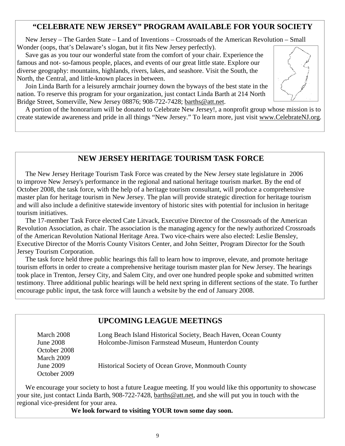#### **"CELEBRATE NEW JERSEY" PROGRAM AVAILABLE FOR YOUR SOCIETY**

 New Jersey – The Garden State – Land of Inventions – Crossroads of the American Revolution – Small Wonder (oops, that's Delaware's slogan, but it fits New Jersey perfectly).

 Save gas as you tour our wonderful state from the comfort of your chair. Experience the famous and not- so-famous people, places, and events of our great little state. Explore our diverse geography: mountains, highlands, rivers, lakes, and seashore. Visit the South, the North, the Central, and little-known places in between.

 Join Linda Barth for a leisurely armchair journey down the byways of the best state in the nation. To reserve this program for your organization, just contact Linda Barth at 214 North Bridge Street, Somerville, New Jersey 08876; 908-722-7428; barths@att.net.



 A portion of the honorarium will be donated to Celebrate New Jersey!, a nonprofit group whose mission is to create statewide awareness and pride in all things "New Jersey." To learn more, just visit www.CelebrateNJ.org.

#### **NEW JERSEY HERITAGE TOURISM TASK FORCE**

 The New Jersey Heritage Tourism Task Force was created by the New Jersey state legislature in 2006 to improve New Jersey's performance in the regional and national heritage tourism market. By the end of October 2008, the task force, with the help of a heritage tourism consultant, will produce a comprehensive master plan for heritage tourism in New Jersey. The plan will provide strategic direction for heritage tourism and will also include a definitive statewide inventory of historic sites with potential for inclusion in heritage tourism initiatives.

 The 17-member Task Force elected Cate Litvack, Executive Director of the Crossroads of the American Revolution Association, as chair. The association is the managing agency for the newly authorized Crossroads of the American Revolution National Heritage Area. Two vice-chairs were also elected: Leslie Bensley, Executive Director of the Morris County Visitors Center, and John Seitter, Program Director for the South Jersey Tourism Corporation.

 The task force held three public hearings this fall to learn how to improve, elevate, and promote heritage tourism efforts in order to create a comprehensive heritage tourism master plan for New Jersey. The hearings took place in Trenton, Jersey City, and Salem City, and over one hundred people spoke and submitted written testimony. Three additional public hearings will be held next spring in different sections of the state. To further encourage public input, the task force will launch a website by the end of January 2008.

#### **UPCOMING LEAGUE MEETINGS**

 March 2008 Long Beach Island Historical Society, Beach Haven, Ocean County June 2008 Holcombe-Jimison Farmstead Museum, Hunterdon County October 2008 March 2009 June 2009 Historical Society of Ocean Grove, Monmouth County October 2009

 We encourage your society to host a future League meeting. If you would like this opportunity to showcase your site, just contact Linda Barth, 908-722-7428, barths@att.net, and she will put you in touch with the regional vice-president for your area.

**We look forward to visiting YOUR town some day soon.**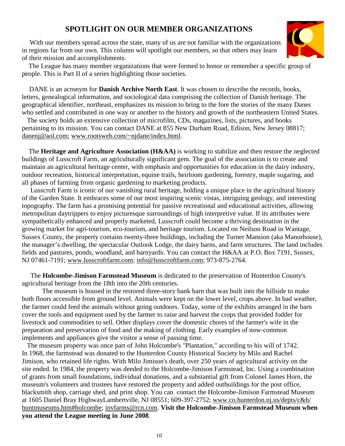# **SPOTLIGHT ON OUR MEMBER ORGANIZATIONS**

With our members spread across the state, many of us are not familiar with the organizations in regions far from our own. This column will spotlight our members, so that others may learn of their mission and accomplishments.



 The League has many member organizations that were formed to honor or remember a specific group of people. This is Part II of a series highlighting those societies.

 DANE is an acronym for **Danish Archive North East**. It was chosen to describe the records, books, letters, genealogical information, and sociological data comprising the collection of Danish heritage. The geographical identifier, northeast, emphasizes its mission to bring to the fore the stories of the many Danes who settled and contributed in one way or another to the history and growth of the northeastern United States.

 The society holds an extensive collection of microfilm, CDs, magazines, lists, pictures, and books pertaining to its mission. You can contact DANE at 855 New Durham Road, Edison, New Jersey 08817; danenj@aol.com; www.rootsweb.com/~njdane/index.html.

 The **Heritage and Agriculture Association (H&AA)** is working to stabilize and then restore the neglected buildings of Lusscroft Farm, an agriculturally significant gem. The goal of the association is to create and maintain an agricultural heritage center, with emphasis and opportunities for education in the dairy industry, outdoor recreation, historical interpretation, equine trails, heirloom gardening, forestry, maple sugaring, and all phases of farming from organic gardening to marketing products.

 Lusscroft Farm is iconic of our vanishing rural heritage, holding a unique place in the agricultural history of the Garden State. It embraces some of our most inspiring scenic vistas, intriguing geology, and interesting topography. The farm has a promising potential for passive recreational and educational activities, allowing metropolitan daytrippers to enjoy picturesque surroundings of high interpretive value. If its attributes were sympathetically enhanced and properly marketed, Lusscroft could become a thriving destination in the growing market for agri-tourism, eco-tourism, and heritage tourism. Located on Neilson Road in Wantage, Sussex County, the property contains twenty-three buildings, including the Turner Mansion (aka Manorhouse), the manager's dwelling, the spectacular Outlook Lodge, the dairy barns, and farm structures. The land includes fields and pastures, ponds, woodland, and barnyards. You can contact the H&AA at P.O. Box 7191, Sussex, NJ 07461-7191; www.lusscroftfarm.com; info@lusscroftfarm.com; 973-875-2764.

 The **Holcombe-Jimison Farmstead Museum** is dedicated to the preservation of Hunterdon County's agricultural heritage from the 18th into the 20th centuries.

 The museum is housed in the restored three-story bank barn that was built into the hillside to make both floors accessible from ground level. Animals were kept on the lower level, crops above. In bad weather, the farmer could feed the animals without going outdoors. Today, some of the exhibits arranged in the barn cover the tools and equipment used by the farmer to raise and harvest the crops that provided fodder for livestock and commodities to sell. Other displays cover the domestic chores of the farmer's wife in the preparation and preservation of food and the making of clothing. Early examples of now-common implements and appliances give the visitor a sense of passing time.

 The museum property was once part of John Holcombe's "Plantation," according to his will of 1742. In 1968, the farmstead was donated to the Hunterdon County Historical Society by Milo and Rachel Jimison, who retained life rights. With Milo Jimison's death, over 250 years of agricultural activity on the site ended. In 1984, the property was deeded to the Holcombe-Jimison Farmstead, Inc. Using a combination of grants from small foundations, individual donations, and a substantial gift from Colonel James Horn, the museum's volunteers and trustees have restored the property and added outbuildings for the post office, blacksmith shop, carriage shed, and print shop. You can contact the Holcombe-Jimison Farmstead Museum at 1605 Daniel Bray HighwayLambertville, NJ 08551; 609-397-2752; www.co.hunterdon.nj.us/depts/c&h/ huntmuseums.htm#holcombe; invfarms@rcn.com. **Visit the Holcombe-Jimison Farmstead Museum when you attend the League meeting in June 2008**.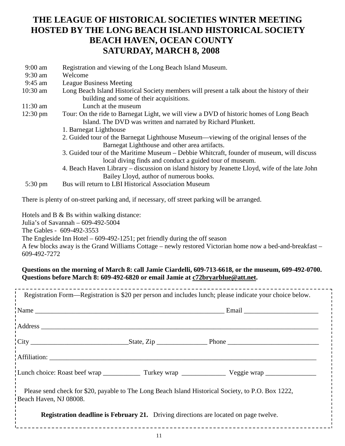# **THE LEAGUE OF HISTORICAL SOCIETIES WINTER MEETING HOSTED BY THE LONG BEACH ISLAND HISTORICAL SOCIETY BEACH HAVEN, OCEAN COUNTY SATURDAY, MARCH 8, 2008**

- 9:00 am Registration and viewing of the Long Beach Island Museum.
- 9:30 am Welcome
- 9:45 am League Business Meeting
- 10:30 am Long Beach Island Historical Society members will present a talk about the history of their building and some of their acquisitions.
- 11:30 am Lunch at the museum
- 12:30 pm Tour: On the ride to Barnegat Light, we will view a DVD of historic homes of Long Beach Island. The DVD was written and narrated by Richard Plunkett.
	- 1. Barnegat Lighthouse
	- 2. Guided tour of the Barnegat Lighthouse Museum—viewing of the original lenses of the Barnegat Lighthouse and other area artifacts.
	- 3. Guided tour of the Maritime Museum Debbie Whitcraft, founder of museum, will discuss local diving finds and conduct a guided tour of museum.
	- 4. Beach Haven Library discussion on island history by Jeanette Lloyd, wife of the late John Bailey Lloyd, author of numerous books.
- 5:30 pm Bus will return to LBI Historical Association Museum

There is plenty of on-street parking and, if necessary, off street parking will be arranged.

Hotels and B & Bs within walking distance:

Julia's of Savannah – 609-492-5004

The Gables - 609-492-3553

The Engleside Inn Hotel – 609-492-1251; pet friendly during the off season

A few blocks away is the Grand Williams Cottage – newly restored Victorian home now a bed-and-breakfast – 609-492-7272

#### **Questions on the morning of March 8: call Jamie Ciardelli, 609-713-6618, or the museum, 609-492-0700. Questions before March 8: 609-492-6820 or email Jamie at c72bryarblue@att.net.**

| Registration Form—Registration is \$20 per person and includes lunch; please indicate your choice below.                     |  |  |
|------------------------------------------------------------------------------------------------------------------------------|--|--|
|                                                                                                                              |  |  |
|                                                                                                                              |  |  |
|                                                                                                                              |  |  |
| Affiliation:                                                                                                                 |  |  |
|                                                                                                                              |  |  |
| Please send check for \$20, payable to The Long Beach Island Historical Society, to P.O. Box 1222,<br>Beach Haven, NJ 08008. |  |  |
| <b>Registration deadline is February 21.</b> Driving directions are located on page twelve.                                  |  |  |